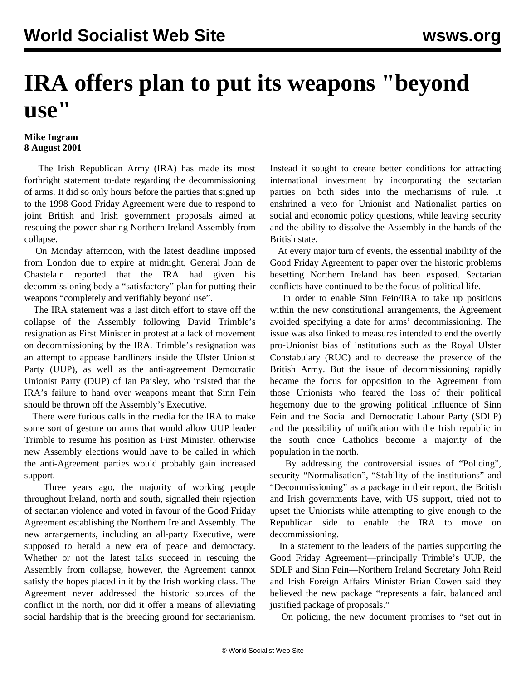## **IRA offers plan to put its weapons "beyond use"**

## **Mike Ingram 8 August 2001**

 The Irish Republican Army (IRA) has made its most forthright statement to-date regarding the decommissioning of arms. It did so only hours before the parties that signed up to the 1998 Good Friday Agreement were due to respond to joint British and Irish government proposals aimed at rescuing the power-sharing Northern Ireland Assembly from collapse.

 On Monday afternoon, with the latest deadline imposed from London due to expire at midnight, General John de Chastelain reported that the IRA had given his decommissioning body a "satisfactory" plan for putting their weapons "completely and verifiably beyond use".

 The IRA statement was a last ditch effort to stave off the collapse of the Assembly following David Trimble's resignation as First Minister in protest at a lack of movement on decommissioning by the IRA. Trimble's resignation was an attempt to appease hardliners inside the Ulster Unionist Party (UUP), as well as the anti-agreement Democratic Unionist Party (DUP) of Ian Paisley, who insisted that the IRA's failure to hand over weapons meant that Sinn Fein should be thrown off the Assembly's Executive.

 There were furious calls in the media for the IRA to make some sort of gesture on arms that would allow UUP leader Trimble to resume his position as First Minister, otherwise new Assembly elections would have to be called in which the anti-Agreement parties would probably gain increased support.

 Three years ago, the majority of working people throughout Ireland, north and south, signalled their rejection of sectarian violence and voted in favour of the Good Friday Agreement establishing the Northern Ireland Assembly. The new arrangements, including an all-party Executive, were supposed to herald a new era of peace and democracy. Whether or not the latest talks succeed in rescuing the Assembly from collapse, however, the Agreement cannot satisfy the hopes placed in it by the Irish working class. The Agreement never addressed the historic sources of the conflict in the north, nor did it offer a means of alleviating social hardship that is the breeding ground for sectarianism.

Instead it sought to create better conditions for attracting international investment by incorporating the sectarian parties on both sides into the mechanisms of rule. It enshrined a veto for Unionist and Nationalist parties on social and economic policy questions, while leaving security and the ability to dissolve the Assembly in the hands of the British state.

 At every major turn of events, the essential inability of the Good Friday Agreement to paper over the historic problems besetting Northern Ireland has been exposed. Sectarian conflicts have continued to be the focus of political life.

 In order to enable Sinn Fein/IRA to take up positions within the new constitutional arrangements, the Agreement avoided specifying a date for arms' decommissioning. The issue was also linked to measures intended to end the overtly pro-Unionist bias of institutions such as the Royal Ulster Constabulary (RUC) and to decrease the presence of the British Army. But the issue of decommissioning rapidly became the focus for opposition to the Agreement from those Unionists who feared the loss of their political hegemony due to the growing political influence of Sinn Fein and the Social and Democratic Labour Party (SDLP) and the possibility of unification with the Irish republic in the south once Catholics become a majority of the population in the north.

 By addressing the controversial issues of "Policing", security "Normalisation", "Stability of the institutions" and "Decommissioning" as a package in their report, the British and Irish governments have, with US support, tried not to upset the Unionists while attempting to give enough to the Republican side to enable the IRA to move on decommissioning.

 In a statement to the leaders of the parties supporting the Good Friday Agreement—principally Trimble's UUP, the SDLP and Sinn Fein—Northern Ireland Secretary John Reid and Irish Foreign Affairs Minister Brian Cowen said they believed the new package "represents a fair, balanced and justified package of proposals."

On policing, the new document promises to "set out in